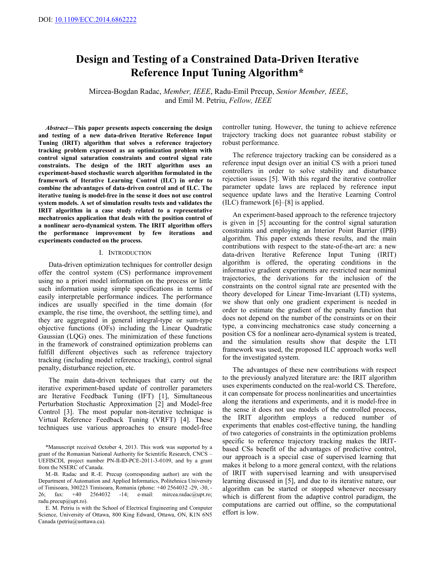# **Design and Testing of a Constrained Data-Driven Iterative Reference Input Tuning Algorithm\***

Mircea-Bogdan Radac, *Member, IEEE*, Radu-Emil Precup, *Senior Member, IEEE*, and Emil M. Petriu, *Fellow, IEEE*

*Abstract***—This paper presents aspects concerning the design and testing of a new data-driven Iterative Reference Input Tuning (IRIT) algorithm that solves a reference trajectory tracking problem expressed as an optimization problem with control signal saturation constraints and control signal rate constraints. The design of the IRIT algorithm uses an experiment-based stochastic search algorithm formulated in the framework of Iterative Learning Control (ILC) in order to combine the advantages of data-driven control and of ILC. The iterative tuning is model-free in the sense it does not use control system models. A set of simulation results tests and validates the IRIT algorithm in a case study related to a representative mechatronics application that deals with the position control of a nonlinear aero-dynamical system. The IRIT algorithm offers the performance improvement by few iterations and experiments conducted on the process.** 

#### I. INTRODUCTION

Data-driven optimization techniques for controller design offer the control system (CS) performance improvement using no a priori model information on the process or little such information using simple specifications in terms of easily interpretable performance indices. The performance indices are usually specified in the time domain (for example, the rise time, the overshoot, the settling time), and they are aggregated in general integral-type or sum-type objective functions (OFs) including the Linear Quadratic Gaussian (LQG) ones. The minimization of these functions in the framework of constrained optimization problems can fulfill different objectives such as reference trajectory tracking (including model reference tracking), control signal penalty, disturbance rejection, etc.

The main data-driven techniques that carry out the iterative experiment-based update of controller parameters are Iterative Feedback Tuning (IFT) [1], Simultaneous Perturbation Stochastic Approximation [2] and Model-free Control [3]. The most popular non-iterative technique is Virtual Reference Feedback Tuning (VRFT) [4]. These techniques use various approaches to ensure model-free

controller tuning. However, the tuning to achieve reference trajectory tracking does not guarantee robust stability or robust performance.

The reference trajectory tracking can be considered as a reference input design over an initial CS with a priori tuned controllers in order to solve stability and disturbance rejection issues [5]. With this regard the iterative controller parameter update laws are replaced by reference input sequence update laws and the Iterative Learning Control (ILC) framework [6]–[8] is applied.

An experiment-based approach to the reference trajectory is given in [5] accounting for the control signal saturation constraints and employing an Interior Point Barrier (IPB) algorithm. This paper extends these results, and the main contributions with respect to the state-of-the-art are: a new data-driven Iterative Reference Input Tuning (IRIT) algorithm is offered, the operating conditions in the informative gradient experiments are restricted near nominal trajectories, the derivations for the inclusion of the constraints on the control signal rate are presented with the theory developed for Linear Time-Invariant (LTI) systems, we show that only one gradient experiment is needed in order to estimate the gradient of the penalty function that does not depend on the number of the constraints or on their type, a convincing mechatronics case study concerning a position CS for a nonlinear aero-dynamical system is treated, and the simulation results show that despite the LTI framework was used, the proposed ILC approach works well for the investigated system.

The advantages of these new contributions with respect to the previously analyzed literature are: the IRIT algorithm uses experiments conducted on the real-world CS. Therefore, it can compensate for process nonlinearities and uncertainties along the iterations and experiments, and it is model-free in the sense it does not use models of the controlled process, the IRIT algorithm employs a reduced number of experiments that enables cost-effective tuning, the handling of two categories of constraints in the optimization problems specific to reference trajectory tracking makes the IRITbased CSs benefit of the advantages of predictive control, our approach is a special case of supervised learning that makes it belong to a more general context, with the relations of IRIT with supervised learning and with unsupervised learning discussed in [5], and due to its iterative nature, our algorithm can be started or stopped whenever necessary which is different from the adaptive control paradigm, the computations are carried out offline, so the computational effort is low.

<sup>\*</sup>Manuscript received October 4, 2013. This work was supported by a grant of the Romanian National Authority for Scientific Research, CNCS – UEFISCDI, project number PN-II-ID-PCE-2011-3-0109, and by a grant from the NSERC of Canada.

M.-B. Radac and R.-E. Precup (corresponding author) are with the Department of Automation and Applied Informatics, Politehnica University of Timisoara, 300223 Timisoara, Romania (phone: +40 2564032 -29, -30, - 26; fax:  $+40$  2564032 -14; e-mail: mircea.radac@upt.ro; radu.precup@upt.ro).

E. M. Petriu is with the School of Electrical Engineering and Computer Science, University of Ottawa, 800 King Edward, Ottawa, ON, K1N 6N5 Canada (petriu@uottawa.ca).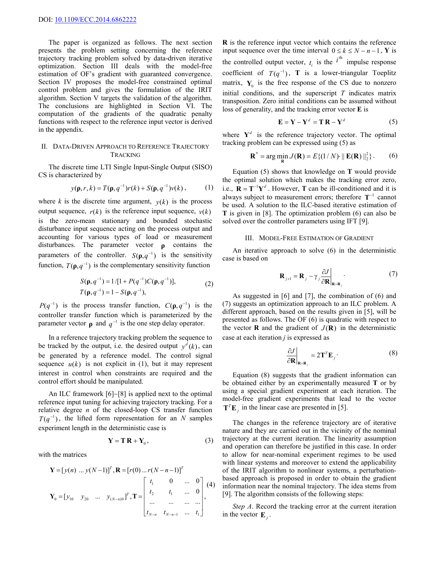The paper is organized as follows. The next section presents the problem setting concerning the reference trajectory tracking problem solved by data-driven iterative optimization. Section III deals with the model-free estimation of OF's gradient with guaranteed convergence. Section IV proposes the model-free constrained optimal control problem and gives the formulation of the IRIT algorithm. Section V targets the validation of the algorithm. The conclusions are highlighted in Section VI. The computation of the gradients of the quadratic penalty functions with respect to the reference input vector is derived in the appendix.

# II. DATA-DRIVEN APPROACH TO REFERENCE TRAJECTORY TRACKING

The discrete time LTI Single Input-Single Output (SISO) CS is characterized by

$$
y(\mathbf{p}, r, k) = T(\mathbf{p}, q^{-1})r(k) + S(\mathbf{p}, q^{-1})v(k)
$$
, (1)

where *k* is the discrete time argument,  $y(k)$  is the process output sequence,  $r(k)$  is the reference input sequence,  $v(k)$ is the zero-mean stationary and bounded stochastic disturbance input sequence acting on the process output and accounting for various types of load or measurement disturbances. The parameter vector **ρ** contains the parameters of the controller.  $S(\rho, q^{-1})$  is the sensitivity function,  $T(\rho, q^{-1})$  is the complementary sensitivity function

$$
S(\mathbf{p}, q^{-1}) = 1/[1 + P(q^{-1})C(\mathbf{p}, q^{-1})],
$$
  
\n
$$
T(\mathbf{p}, q^{-1}) = 1 - S(\mathbf{p}, q^{-1}),
$$
\n(2)

 $P(q^{-1})$  is the process transfer function,  $C(\rho, q^{-1})$  is the controller transfer function which is parameterized by the parameter vector  $\rho$  and  $q^{-1}$  is the one step delay operator.

In a reference trajectory tracking problem the sequence to be tracked by the output, i.e. the desired output  $y^d(k)$ , can be generated by a reference model. The control signal sequence  $u(k)$  is not explicit in (1), but it may represent interest in control when constraints are required and the control effort should be manipulated.

An ILC framework [6]−[8] is applied next to the optimal reference input tuning for achieving trajectory tracking. For a relative degree *n* of the closed-loop CS transfer function  $T(q^{-1})$ , the lifted form representation for an *N* samples experiment length in the deterministic case is

$$
\mathbf{Y} = \mathbf{T} \, \mathbf{R} + \mathbf{Y}_0 \,, \tag{3}
$$

with the matrices

$$
\mathbf{Y} = [y(n) \dots y(N-1)]^T, \mathbf{R} = [r(0) \dots r(N-n-1)]^T
$$
  

$$
\mathbf{Y}_0 = [y_{10} \quad y_{20} \quad \dots \quad y_{(N-n)0}]^T, \mathbf{T} = \begin{bmatrix} t_1 & 0 & \dots & 0 \\ t_2 & t_1 & \dots & 0 \\ \dots & \dots & \dots & \dots \\ t_{N-n} & t_{N-n-1} & \dots & t_1 \end{bmatrix},
$$
 (4)

**R** is the reference input vector which contains the reference input sequence over the time interval  $0 \le k \le N - n - 1$ , **Y** is the controlled output vector,  $t_i$  is the  $i^{\text{th}}$  impulse response coefficient of  $T(q^{-1})$ , **T** is a lower-triangular Toeplitz matrix,  $Y_0$  is the free response of the CS due to nonzero initial conditions, and the superscript *T* indicates matrix transposition. Zero initial conditions can be assumed without loss of generality, and the tracking error vector **E** is

$$
\mathbf{E} = \mathbf{Y} - \mathbf{Y}^d = \mathbf{T} \mathbf{R} - \mathbf{Y}^d \tag{5}
$$

where  $Y^d$  is the reference trajectory vector. The optimal tracking problem can be expressed using (5) as

$$
\mathbf{R}^* = \arg\min_{\mathbf{R}} J(\mathbf{R}) = E\{(1/N) \cdot ||\mathbf{E}(\mathbf{R})||_2^2\}.
$$
 (6)

Equation (5) shows that knowledge on **T** would provide the optimal solution which makes the tracking error zero, i.e.,  $\mathbf{R} = \mathbf{T}^{-1} \mathbf{Y}^{d}$ . However, **T** can be ill-conditioned and it is always subject to measurement errors; therefore  $T^{-1}$  cannot be used. A solution to the ILC-based iterative estimation of **T** is given in [8]. The optimization problem (6) can also be solved over the controller parameters using IFT [9].

# III. MODEL-FREE ESTIMATION OF GRADIENT

An iterative approach to solve (6) in the deterministic case is based on

$$
\mathbf{R}_{j+1} = \mathbf{R}_{j} - \gamma_{j} \frac{\partial J}{\partial \mathbf{R}} \bigg|_{\mathbf{R} = \mathbf{R}_{j}}.
$$
 (7)

As suggested in [6] and [7], the combination of (6) and (7) suggests an optimization approach to an ILC problem. A different approach, based on the results given in [5], will be presented as follows. The OF (6) is quadratic with respect to the vector **R** and the gradient of  $J(\mathbf{R})$  in the deterministic case at each iteration *j* is expressed as

$$
\left. \frac{\partial J}{\partial \mathbf{R}} \right|_{\mathbf{R} = \mathbf{R}_j} = 2 \mathbf{T}^T \mathbf{E}_j \tag{8}
$$

Equation (8) suggests that the gradient information can be obtained either by an experimentally measured **T** or by using a special gradient experiment at each iteration. The model-free gradient experiments that lead to the vector  $T^T E_j$  in the linear case are presented in [5].

The changes in the reference trajectory are of iterative nature and they are carried out in the vicinity of the nominal trajectory at the current iteration. The linearity assumption and operation can therefore be justified in this case. In order to allow for near-nominal experiment regimes to be used with linear systems and moreover to extend the applicability of the IRIT algorithm to nonlinear systems, a perturbationbased approach is proposed in order to obtain the gradient information near the nominal trajectory. The idea stems from [9]. The algorithm consists of the following steps:

*Step A*. Record the tracking error at the current iteration in the vector  $\mathbf{E}_j$ .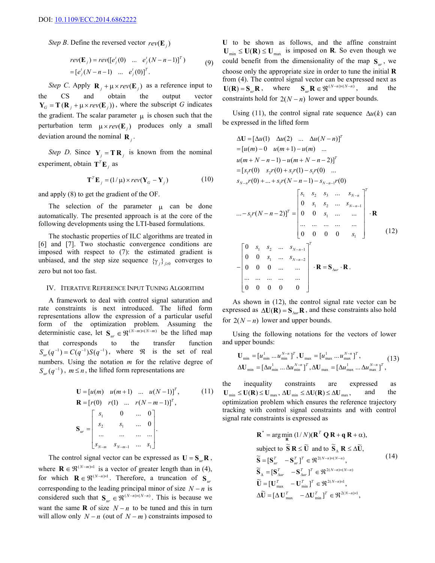*Step B*. Define the reversed vector  $rev(\mathbf{E}_j)$ 

$$
rev(\mathbf{E}_{j}) = rev([e_{j}^{t}(0) \dots e_{j}^{t}(N-n-1)]^{T})
$$
  
=  $[e_{j}^{t}(N-n-1) \dots e_{j}^{t}(0)]^{T}$ . (9)

*Step C*. Apply  $\mathbf{R}_j + \mu \times rev(\mathbf{E}_j)$  as a reference input to the CS and obtain the output vector  $Y_G = T(R_i + \mu \times rev(E_i))$ , where the subscript *G* indicates the gradient. The scalar parameter  $\mu$  is chosen such that the perturbation term  $\mu \times rev(\mathbf{E}_j)$  produces only a small deviation around the nominal  $\mathbf{R}_j$ .

*Step D*. Since  $Y_j = TR_j$  is known from the nominal experiment, obtain  $T^T E_j$  as

$$
\mathbf{T}^T \mathbf{E}_j = (1/\mu) \times rev(\mathbf{Y}_G - \mathbf{Y}_j)
$$
 (10)

and apply (8) to get the gradient of the OF.

The selection of the parameter  $\mu$  can be done automatically. The presented approach is at the core of the following developments using the LTI-based formulations.

The stochastic properties of ILC algorithms are treated in [6] and [7]. Two stochastic convergence conditions are imposed with respect to (7): the estimated gradient is unbiased, and the step size sequence  $\{\gamma_j\}_{j\geq 0}$  converges to zero but not too fast.

# IV. ITERATIVE REFERENCE INPUT TUNING ALGORITHM

A framework to deal with control signal saturation and rate constraints is next introduced. The lifted form representations allow the expression of a particular useful form of the optimization problem. Assuming the deterministic case, let  $S_{ur} \in \mathbb{R}^{(N-m)\times(N-m)}$  be the lifted map that corresponds to the transfer function  $S_{ur}(q^{-1}) = C(q^{-1})S(q^{-1}),$  where  $\Re$  is the set of real numbers. Using the notation *m* for the relative degree of  $S_{ur}(q^{-1})$ ,  $m \le n$ , the lifted form representations are

$$
\mathbf{U} = [u(m) \quad u(m+1) \quad \dots \quad u(N-1)]^T, \tag{11}
$$
\n
$$
\mathbf{R} = [r(0) \quad r(1) \quad \dots \quad r(N-m-1)]^T,
$$
\n
$$
\mathbf{S}_{ur} = \begin{bmatrix} s_1 & 0 & \dots & 0 \\ s_2 & s_1 & \dots & 0 \\ \dots & \dots & \dots & \dots \\ s_{N-m} & s_{N-m-1} & \dots & s_1 \end{bmatrix}.
$$

The control signal vector can be expressed as  $U = S_{\mu \nu} R$ , where  $\mathbf{R} \in \mathfrak{R}^{(N-m)\times 1}$  is a vector of greater length than in (4), for which  $\mathbf{R} \in \mathfrak{R}^{(N-n) \times 1}$ . Therefore, a truncation of  $\mathbf{S}_{ur}$ corresponding to the leading principal minor of size *N* − *n* is considered such that  $\mathbf{S}_{ur} \in \mathfrak{R}^{(N-n)\times(N-n)}$ . This is because we want the same **R** of size  $N - n$  to be tuned and this in turn will allow only  $N - n$  (out of  $N - m$ ) constraints imposed to

**U** to be shown as follows, and the affine constraint  $U_{\text{min}} \leq U(R) \leq U_{\text{max}}$  is imposed on **R**. So even though we could benefit from the dimensionality of the map **S***ur* , we choose only the appropriate size in order to tune the initial **R** from (4). The control signal vector can be expressed next as  $U(R) = S_{ur}R$ , where  $\mathbf{S}_{ur} \mathbf{R} \in \mathfrak{R}^{(N-n)\times(N-n)}$ , and the constraints hold for  $2(N - n)$  lower and upper bounds.

Using (11), the control signal rate sequence  $\Delta u(k)$  can be expressed in the lifted form

$$
\Delta \mathbf{U} = [\Delta u(1) \quad \Delta u(2) \quad \dots \quad \Delta u(N-n)]^{T}
$$
  
\n=  $[u(m) - 0 \quad u(m+1) - u(m) \quad \dots$   
\n $u(m+N-n-1) - u(m+N-n-2)]^{T}$   
\n=  $[s_{1}r(0) \quad s_{2}r(0) + s_{1}r(1) - s_{1}r(0) \quad \dots$   
\n $s_{N-n}r(0) + \dots + s_{1}r(N-n-1) - s_{N-n-1}r(0)$   
\n $\begin{bmatrix} s_{1} & s_{2} & s_{3} & \dots & s_{N-n} \\ 0 & s_{1} & s_{2} & \dots & s_{N-n-1} \\ \dots & \dots & \dots & \dots & \dots \\ 0 & 0 & 0 & 0 & s_{1} \end{bmatrix}^{T}$   
\n $\dots - s_{1}r(N-n-2) ]^{T} = \begin{bmatrix} s_{1} & s_{2} & \dots & s_{N-n-1} \\ 0 & s_{1} & \dots & \dots & \dots \\ 0 & 0 & 0 & s_{1} & \dots & \dots \\ \dots & \dots & \dots & \dots & \dots \\ 0 & 0 & 0 & 0 & s_{1} \end{bmatrix}$  (12)  
\n $\begin{bmatrix} 0 & s_{1} & s_{2} & \dots & s_{N-n-1} \\ 0 & 0 & s_{1} & \dots & s_{N-n-2} \\ \dots & \dots & \dots & \dots & \dots \\ 0 & 0 & 0 & 0 & 0 \end{bmatrix}^{T}$ 

As shown in (12), the control signal rate vector can be expressed as  $\Delta U(\mathbf{R}) = \mathbf{S}_{\text{A}u\text{}}\mathbf{R}$ , and these constraints also hold for  $2(N - n)$  lower and upper bounds.

Using the following notations for the vectors of lower and upper bounds:

$$
\mathbf{U}_{\min} = [u_{\min}^1 ... u_{\min}^{N-n}]^T, \mathbf{U}_{\max} = [u_{\max}^1 ... u_{\max}^{N-n}]^T, \Delta \mathbf{U}_{\min} = [\Delta u_{\min}^1 ... \Delta u_{\min}^{N-n}]^T, \Delta \mathbf{U}_{\max} = [\Delta u_{\max}^1 ... \Delta u_{\max}^{N-n}]^T,
$$
\n(13)

the inequality constraints are expressed as  $\mathbf{U}_{\text{min}} \leq \mathbf{U}(\mathbf{R}) \leq \mathbf{U}_{\text{max}}$ ,  $\Delta \mathbf{U}_{\text{min}} \leq \Delta \mathbf{U}(\mathbf{R}) \leq \Delta \mathbf{U}_{\text{max}}$ , and the optimization problem which ensures the reference trajectory tracking with control signal constraints and with control signal rate constraints is expressed as

$$
\mathbf{R}^* = \arg \min_{\mathbf{R}} (1/N)(\mathbf{R}^T \mathbf{Q} \mathbf{R} + \mathbf{q} \mathbf{R} + \alpha),
$$
  
subject to  $\widetilde{\mathbf{S}} \mathbf{R} \leq \widetilde{\mathbf{U}}$  and to  $\widetilde{\mathbf{S}}_{\Delta} \mathbf{R} \leq \Delta \widetilde{\mathbf{U}},$   

$$
\widetilde{\mathbf{S}} = [\mathbf{S}_{ur}^T - \mathbf{S}_{ur}^T]^T \in \mathfrak{R}^{2(N-n)\times(N-n)},
$$

$$
\widetilde{\mathbf{S}}_{\Delta} = [\mathbf{S}_{\Delta ur}^T - \mathbf{S}_{\Delta ur}^T]^T \in \mathfrak{R}^{2(N-n)\times(N-n)}
$$

$$
\widetilde{\mathbf{U}} = [\mathbf{U}_{\text{max}}^T - \mathbf{U}_{\text{min}}^T]^T \in \mathfrak{R}^{2(N-n)\times1},
$$

$$
\Delta \widetilde{\mathbf{U}} = [\Delta \mathbf{U}_{\text{max}}^T - \Delta \mathbf{U}_{\text{min}}^T]^T \in \mathfrak{R}^{2(N-n)\times1},
$$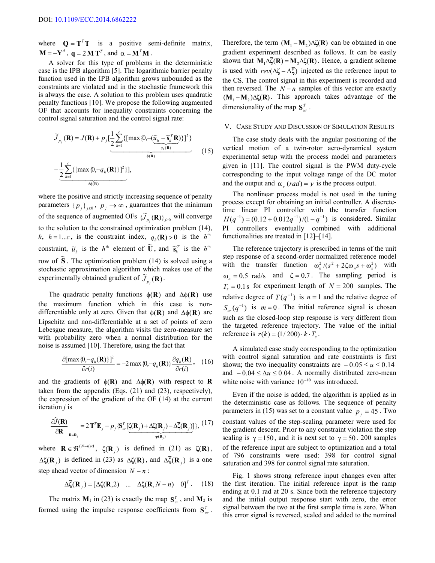where  $Q = T^T T$  is a positive semi-definite matrix,  $\mathbf{M} = -\mathbf{Y}^d$ ,  $\mathbf{q} = 2\mathbf{M}\mathbf{T}^T$ , and  $\alpha = \mathbf{M}^T\mathbf{M}$ .

A solver for this type of problems in the deterministic case is the IPB algorithm [5]. The logarithmic barrier penalty function used in the IPB algorithm grows unbounded as the constraints are violated and in the stochastic framework this is always the case. A solution to this problem uses quadratic penalty functions [10]. We propose the following augmented OF that accounts for inequality constraints concerning the control signal saturation and the control signal rate:

$$
\widetilde{J}_{p_j}(\mathbf{R}) = J(\mathbf{R}) + p_j \left[ \frac{1}{2} \sum_{h=1}^{c} \{ [\max \{0, -(\widetilde{\boldsymbol{u}}_h - \widetilde{\mathbf{s}}_h^T \mathbf{R})\} ]^2 \} \right] + \underbrace{\frac{1}{2} \sum_{h=1}^{c} \{ [\max \{0, -q_h(\mathbf{R})\} ]^2 \} ]}_{\Delta \phi(\mathbf{R})},
$$
\n(15)

where the positive and strictly increasing sequence of penalty parameters  $\{p_j\}_{j\geq 0}$ ,  $p_j \to \infty$ , guarantees that the minimum of the sequence of augmented OFs  $\{ \widetilde{J}_{p_j}(\mathbf{R}) \}_{j \geq 0}$  will converge to the solution to the constrained optimization problem (14), *h*,  $h = 1...c$ , is the constraint index,  $q_h(\mathbf{R}) > 0$  is the  $h^{\text{th}}$ constraint,  $\tilde{u}_h$  is the  $h^{\text{th}}$  element of  $\tilde{U}$ , and  $\tilde{s}_h^T$  is the  $h^{\text{th}}$ row of  $\tilde{S}$ . The optimization problem (14) is solved using a stochastic approximation algorithm which makes use of the experimentally obtained gradient of  $\widetilde{J}_{p_j}(\mathbf{R})$ .

The quadratic penalty functions  $\phi(\mathbf{R})$  and  $\Delta\phi(\mathbf{R})$  use the maximum function which in this case is nondifferentiable only at zero. Given that φ(**R**) and ∆φ(**R**) are Lipschitz and non-differentiable at a set of points of zero Lebesgue measure, the algorithm visits the zero-measure set with probability zero when a normal distribution for the noise is assumed [10]. Therefore, using the fact that

$$
\frac{\partial [\max\{0, -q_h(\mathbf{R})\} ]^2}{\partial r(i)} = -2 \max\{0, -q_h(\mathbf{R})\} \frac{\partial q_h(\mathbf{R})}{\partial r(i)}, \quad (16)
$$

and the gradients of φ(**R**) and ∆φ(**R**) with respect to **R** taken from the appendix (Eqs. (21) and (23), respectively), the expression of the gradient of the OF (14) at the current iteration *j* is

$$
\frac{\partial \widetilde{J}(\mathbf{R})}{\partial \mathbf{R}}\bigg|_{\mathbf{R}=\mathbf{R}_j} = 2 \mathbf{T}^T \mathbf{E}_j + p_j \{ \mathbf{S}_{ur}^T [\zeta(\mathbf{R}_j) + \Delta \zeta(\mathbf{R}_j) - \Delta \overline{\zeta}(\mathbf{R}_j)] \}, (17)
$$

where  $\mathbf{R} \in \mathfrak{R}^{(N-n)\times 1}$ ,  $\zeta(\mathbf{R}_j)$  is defined in (21) as  $\zeta(\mathbf{R})$ ,  $\Delta \zeta(\mathbf{R}_i)$  is defined in (23) as  $\Delta \zeta(\mathbf{R})$ , and  $\Delta \bar{\zeta}(\mathbf{R}_i)$  is a one step ahead vector of dimension  $N - n$ :

$$
\Delta \overline{\zeta}(\mathbf{R}_j) = [\Delta \zeta(\mathbf{R}, 2) \quad \dots \quad \Delta \zeta(\mathbf{R}, N - n) \quad 0]^T. \tag{18}
$$

The matrix  $M_1$  in (23) is exactly the map  $S_{uv}^T$ , and  $M_2$  is formed using the impulse response coefficients from  $S_{ur}^T$ . Therefore, the term  $(M_1 - M_2) \Delta \zeta(R)$  can be obtained in one gradient experiment described as follows. It can be easily shown that  $M_1 \Delta \bar{\zeta}(\mathbf{R}) = M_2 \Delta \zeta(\mathbf{R})$ . Hence, a gradient scheme is used with  $rev(\Delta \zeta - \Delta \overline{\zeta})$  injected as the reference input to the CS. The control signal in this experiment is recorded and then reversed. The  $N - n$  samples of this vector are exactly  $(M_1 - M_2) \Delta \zeta(\mathbf{R})$ . This approach takes advantage of the dimensionality of the map  $S_{ur}^T$ .

#### V. CASE STUDY AND DISCUSSION OF SIMULATION RESULTS

The case study deals with the angular positioning of the vertical motion of a twin-rotor aero-dynamical system experimental setup with the process model and parameters given in [11]. The control signal is the PWM duty-cycle corresponding to the input voltage range of the DC motor and the output and  $\alpha$ <sup>*y*</sup>  $(rad) = y$  is the process output.

The nonlinear process model is not used in the tuning process except for obtaining an initial controller. A discretetime linear PI controller with the transfer function  $H(q^{-1}) = (0.12 + 0.012q^{-1})/(1 - q^{-1})$  is considered. Similar PI controllers eventually combined with additional functionalities are treated in [12]–[14].

The reference trajectory is prescribed in terms of the unit step response of a second-order normalized reference model with the transfer function  $\omega_n^2 / (s^2 + 2\zeta \omega_n s + \omega_n^2)$  with  $\omega_n = 0.5$  rad/s and  $\zeta = 0.7$ . The sampling period is  $T<sub>s</sub> = 0.1$  *s* for experiment length of  $N = 200$  samples. The relative degree of  $T(q^{-1})$  is  $n = 1$  and the relative degree of  $S_w(q^{-1})$  is  $m = 0$ . The initial reference signal is chosen such as the closed-loop step response is very different from the targeted reference trajectory. The value of the initial reference is  $r(k) = (1/200) \cdot k \cdot T_s$ .

A simulated case study corresponding to the optimization with control signal saturation and rate constraints is first shown; the two inequality constraints are  $-0.05 \le u \le 0.14$ and  $-0.04 \le \Delta u \le 0.04$ . A normally distributed zero-mean white noise with variance  $10^{-10}$  was introduced.

Even if the noise is added, the algorithm is applied as in the deterministic case as follows. The sequence of penalty parameters in (15) was set to a constant value  $p_j = 45$ . Two constant values of the step-scaling parameter were used for the gradient descent. Prior to any constraint violation the step scaling is  $\gamma = 150$ , and it is next set to  $\gamma = 50$ . 200 samples of the reference input are subject to optimization and a total of 796 constraints were used: 398 for control signal saturation and 398 for control signal rate saturation.

Fig. 1 shows strong reference input changes even after the first iteration. The initial reference input is the ramp ending at 0.1 rad at 20 s. Since both the reference trajectory and the initial output response start with zero, the error signal between the two at the first sample time is zero. When this error signal is reversed, scaled and added to the nominal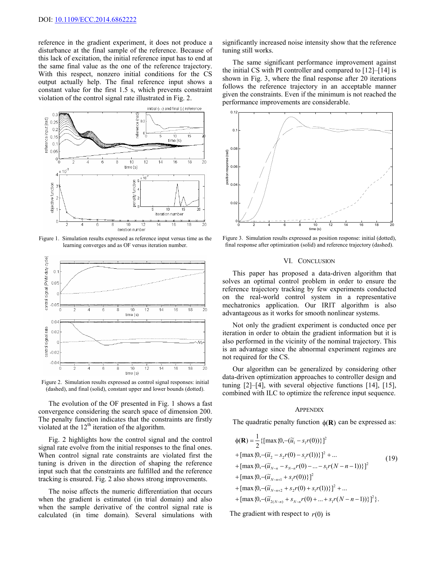reference in the gradient experiment, it does not produce a disturbance at the final sample of the reference. Because of this lack of excitation, the initial reference input has to end at the same final value as the one of the reference trajectory. With this respect, nonzero initial conditions for the CS output actually help. The final reference input shows a constant value for the first 1.5 s, which prevents constraint violation of the control signal rate illustrated in Fig. 2.



Figure 1. Simulation results expressed as reference input versus time as the learning converges and as OF versus iteration number.



Figure 2. Simulation results expressed as control signal responses: initial (dashed), and final (solid), constant upper and lower bounds (dotted).

The evolution of the OF presented in Fig. 1 shows a fast convergence considering the search space of dimension 200. The penalty function indicates that the constraints are firstly violated at the  $12<sup>th</sup>$  iteration of the algorithm.

Fig. 2 highlights how the control signal and the control signal rate evolve from the initial responses to the final ones. When control signal rate constraints are violated first the tuning is driven in the direction of shaping the reference input such that the constraints are fulfilled and the reference tracking is ensured. Fig. 2 also shows strong improvements.

The noise affects the numeric differentiation that occurs when the gradient is estimated (in trial domain) and also when the sample derivative of the control signal rate is calculated (in time domain). Several simulations with significantly increased noise intensity show that the reference tuning still works.

The same significant performance improvement against the initial CS with PI controller and compared to [12]–[14] is shown in Fig. 3, where the final response after 20 iterations follows the reference trajectory in an acceptable manner given the constraints. Even if the minimum is not reached the performance improvements are considerable.



Figure 3. Simulation results expressed as position response: initial (dotted), final response after optimization (solid) and reference trajectory (dashed).

## VI. CONCLUSION

This paper has proposed a data-driven algorithm that solves an optimal control problem in order to ensure the reference trajectory tracking by few experiments conducted on the real-world control system in a representative mechatronics application. Our IRIT algorithm is also advantageous as it works for smooth nonlinear systems.

Not only the gradient experiment is conducted once per iteration in order to obtain the gradient information but it is also performed in the vicinity of the nominal trajectory. This is an advantage since the abnormal experiment regimes are not required for the CS.

Our algorithm can be generalized by considering other data-driven optimization approaches to controller design and tuning [2]–[4], with several objective functions [14], [15], combined with ILC to optimize the reference input sequence.

## **APPENDIX**

The quadratic penalty function  $\phi(\mathbf{R})$  can be expressed as:

$$
\phi(\mathbf{R}) = \frac{1}{2} \{ [\max \{0, -(\widetilde{u}_1 - s_1 r(0))\}]^2
$$
  
+ [max \{0, -(\widetilde{u}\_2 - s\_2 r(0) - s\_1 r(1))\}]^2 + ...  
+ [max \{0, -(\widetilde{u}\_{N-n} - s\_{N-n} r(0) - ... - s\_1 r(N - n - 1))\}]^2  
+ [max \{0, -(\widetilde{u}\_{N-n+1} + s\_1 r(0))\}]^2  
+ [max \{0, -(\widetilde{u}\_{N-n+2} + s\_2 r(0) + s\_1 r(1))\}]^2 + ...  
+ [max \{0, -(\widetilde{u}\_{N-n+2} + s\_{N-n} r(0) + ... + s\_1 r(N - n - 1))\}]^2 \}.

The gradient with respect to  $r(0)$  is